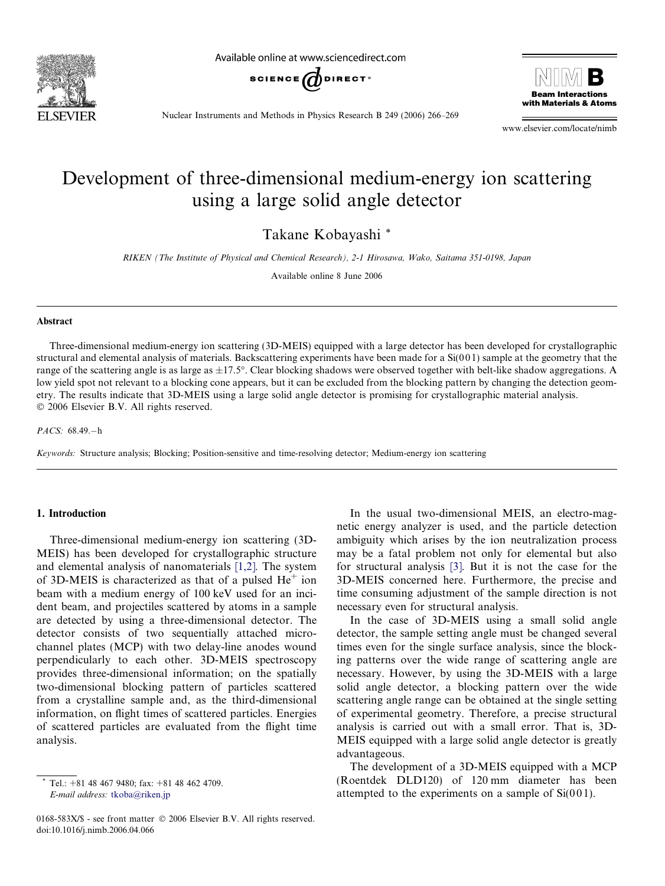

Available online at www.sciencedirect.com





Nuclear Instruments and Methods in Physics Research B 249 (2006) 266–269

www.elsevier.com/locate/nimb

# Development of three-dimensional medium-energy ion scattering using a large solid angle detector

Takane Kobayashi \*

RIKEN (The Institute of Physical and Chemical Research), 2-1 Hirosawa, Wako, Saitama 351-0198, Japan

Available online 8 June 2006

#### Abstract

Three-dimensional medium-energy ion scattering (3D-MEIS) equipped with a large detector has been developed for crystallographic structural and elemental analysis of materials. Backscattering experiments have been made for a  $Si(001)$  sample at the geometry that the range of the scattering angle is as large as  $\pm 17.5^{\circ}$ . Clear blocking shadows were observed together with belt-like shadow aggregations. A low yield spot not relevant to a blocking cone appears, but it can be excluded from the blocking pattern by changing the detection geometry. The results indicate that 3D-MEIS using a large solid angle detector is promising for crystallographic material analysis. 2006 Elsevier B.V. All rights reserved.

PACS: 68.49.-h

Keywords: Structure analysis; Blocking; Position-sensitive and time-resolving detector; Medium-energy ion scattering

## 1. Introduction

Three-dimensional medium-energy ion scattering (3D-MEIS) has been developed for crystallographic structure and elemental analysis of nanomaterials [\[1,2\].](#page-3-0) The system of 3D-MEIS is characterized as that of a pulsed  $He<sup>+</sup>$  ion beam with a medium energy of 100 keV used for an incident beam, and projectiles scattered by atoms in a sample are detected by using a three-dimensional detector. The detector consists of two sequentially attached microchannel plates (MCP) with two delay-line anodes wound perpendicularly to each other. 3D-MEIS spectroscopy provides three-dimensional information; on the spatially two-dimensional blocking pattern of particles scattered from a crystalline sample and, as the third-dimensional information, on flight times of scattered particles. Energies of scattered particles are evaluated from the flight time analysis.

In the usual two-dimensional MEIS, an electro-magnetic energy analyzer is used, and the particle detection ambiguity which arises by the ion neutralization process may be a fatal problem not only for elemental but also for structural analysis [\[3\].](#page-3-0) But it is not the case for the 3D-MEIS concerned here. Furthermore, the precise and time consuming adjustment of the sample direction is not necessary even for structural analysis.

In the case of 3D-MEIS using a small solid angle detector, the sample setting angle must be changed several times even for the single surface analysis, since the blocking patterns over the wide range of scattering angle are necessary. However, by using the 3D-MEIS with a large solid angle detector, a blocking pattern over the wide scattering angle range can be obtained at the single setting of experimental geometry. Therefore, a precise structural analysis is carried out with a small error. That is, 3D-MEIS equipped with a large solid angle detector is greatly advantageous.

The development of a 3D-MEIS equipped with a MCP (Roentdek DLD120) of 120 mm diameter has been attempted to the experiments on a sample of  $Si(001)$ .

Tel.:  $+81$  48 467 9480; fax:  $+81$  48 462 4709. E-mail address: [tkoba@riken.jp](mailto:tkoba@riken.jp)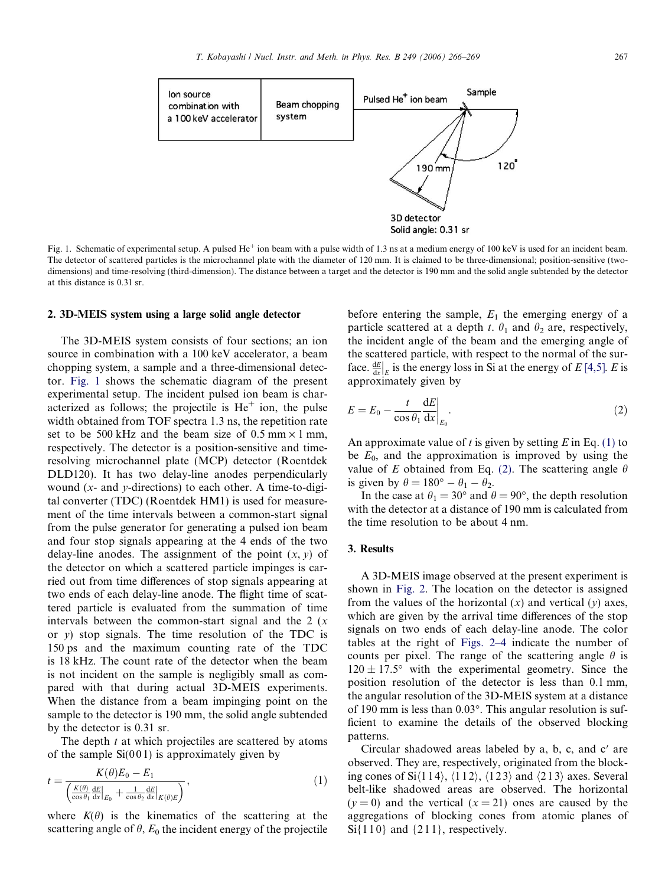

Fig. 1. Schematic of experimental setup. A pulsed  $He^+$  ion beam with a pulse width of 1.3 ns at a medium energy of 100 keV is used for an incident beam. The detector of scattered particles is the microchannel plate with the diameter of 120 mm. It is claimed to be three-dimensional; position-sensitive (twodimensions) and time-resolving (third-dimension). The distance between a target and the detector is 190 mm and the solid angle subtended by the detector at this distance is 0.31 sr.

## 2. 3D-MEIS system using a large solid angle detector

The 3D-MEIS system consists of four sections; an ion source in combination with a 100 keV accelerator, a beam chopping system, a sample and a three-dimensional detector. Fig. 1 shows the schematic diagram of the present experimental setup. The incident pulsed ion beam is characterized as follows; the projectile is  $He<sup>+</sup>$  ion, the pulse width obtained from TOF spectra 1.3 ns, the repetition rate set to be 500 kHz and the beam size of 0.5 mm  $\times$  1 mm, respectively. The detector is a position-sensitive and timeresolving microchannel plate (MCP) detector (Roentdek DLD120). It has two delay-line anodes perpendicularly wound  $(x-$  and  $y$ -directions) to each other. A time-to-digital converter (TDC) (Roentdek HM1) is used for measurement of the time intervals between a common-start signal from the pulse generator for generating a pulsed ion beam and four stop signals appearing at the 4 ends of the two delay-line anodes. The assignment of the point  $(x, y)$  of the detector on which a scattered particle impinges is carried out from time differences of stop signals appearing at two ends of each delay-line anode. The flight time of scattered particle is evaluated from the summation of time intervals between the common-start signal and the  $2(x)$ or  $y$ ) stop signals. The time resolution of the TDC is 150 ps and the maximum counting rate of the TDC is 18 kHz. The count rate of the detector when the beam is not incident on the sample is negligibly small as compared with that during actual 3D-MEIS experiments. When the distance from a beam impinging point on the sample to the detector is 190 mm, the solid angle subtended by the detector is 0.31 sr.

The depth  $t$  at which projectiles are scattered by atoms of the sample  $Si(001)$  is approximately given by

$$
t = \frac{K(\theta)E_0 - E_1}{\left(\frac{K(\theta)}{\cos \theta_1} \frac{\mathrm{d}E}{\mathrm{d}x}\big|_{E_0} + \frac{1}{\cos \theta_2} \frac{\mathrm{d}E}{\mathrm{d}x}\big|_{K(\theta)E}\right)},\tag{1}
$$

where  $K(\theta)$  is the kinematics of the scattering at the scattering angle of  $\theta$ ,  $E_0$  the incident energy of the projectile before entering the sample,  $E_1$  the emerging energy of a particle scattered at a depth t.  $\theta_1$  and  $\theta_2$  are, respectively, the incident angle of the beam and the emerging angle of the scattered particle, with respect to the normal of the surface.  $\frac{dE}{dx}$  $\left|_{E}\right|_{E}$  is the energy loss in Si at the energy of E[\[4,5\].](#page-3-0) E is approximately given by

$$
E = E_0 - \frac{t}{\cos \theta_1} \frac{\mathrm{d}E}{\mathrm{d}x} \bigg|_{E_0}.
$$
 (2)

An approximate value of t is given by setting  $E$  in Eq. (1) to be  $E_0$ , and the approximation is improved by using the value of E obtained from Eq. (2). The scattering angle  $\theta$ is given by  $\theta = 180^\circ - \theta_1 - \theta_2$ .

In the case at  $\theta_1 = 30^\circ$  and  $\theta = 90^\circ$ , the depth resolution with the detector at a distance of 190 mm is calculated from the time resolution to be about 4 nm.

## 3. Results

A 3D-MEIS image observed at the present experiment is shown in [Fig. 2.](#page-2-0) The location on the detector is assigned from the values of the horizontal  $(x)$  and vertical  $(y)$  axes, which are given by the arrival time differences of the stop signals on two ends of each delay-line anode. The color tables at the right of [Figs. 2–4](#page-2-0) indicate the number of counts per pixel. The range of the scattering angle  $\theta$  is  $120 \pm 17.5^{\circ}$  with the experimental geometry. Since the position resolution of the detector is less than 0.1 mm, the angular resolution of the 3D-MEIS system at a distance of 190 mm is less than  $0.03^{\circ}$ . This angular resolution is sufficient to examine the details of the observed blocking patterns.

Circular shadowed areas labeled by  $a$ ,  $b$ ,  $c$ , and  $c'$  are observed. They are, respectively, originated from the blocking cones of Si $\langle 114 \rangle$ ,  $\langle 112 \rangle$ ,  $\langle 123 \rangle$  and  $\langle 213 \rangle$  axes. Several belt-like shadowed areas are observed. The horizontal  $(y = 0)$  and the vertical  $(x = 21)$  ones are caused by the aggregations of blocking cones from atomic planes of  $Si{110}$  and  ${211}$ , respectively.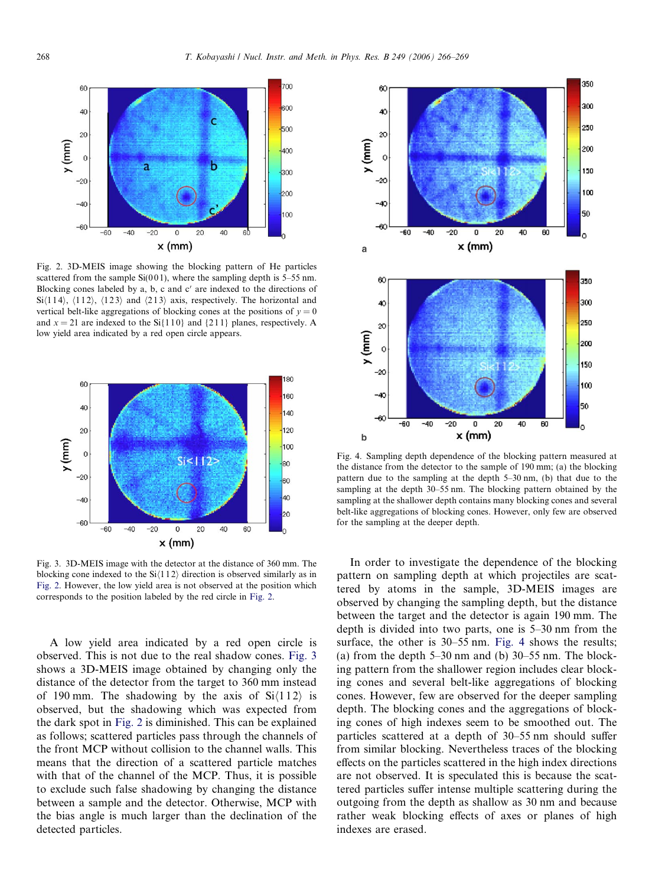<span id="page-2-0"></span>

Fig. 2. 3D-MEIS image showing the blocking pattern of He particles scattered from the sample  $Si(001)$ , where the sampling depth is 5–55 nm. Blocking cones labeled by a, b, c and  $c'$  are indexed to the directions of Si $\langle 114 \rangle$ ,  $\langle 112 \rangle$ ,  $\langle 123 \rangle$  and  $\langle 213 \rangle$  axis, respectively. The horizontal and vertical belt-like aggregations of blocking cones at the positions of  $y = 0$ and  $x = 21$  are indexed to the Si $\{110\}$  and  $\{211\}$  planes, respectively. A low yield area indicated by a red open circle appears.



Fig. 3. 3D-MEIS image with the detector at the distance of 360 mm. The blocking cone indexed to the  $Si(112)$  direction is observed similarly as in Fig. 2. However, the low yield area is not observed at the position which corresponds to the position labeled by the red circle in Fig. 2.

A low yield area indicated by a red open circle is observed. This is not due to the real shadow cones. Fig. 3 shows a 3D-MEIS image obtained by changing only the distance of the detector from the target to 360 mm instead of 190 mm. The shadowing by the axis of  $Si(112)$  is observed, but the shadowing which was expected from the dark spot in Fig. 2 is diminished. This can be explained as follows; scattered particles pass through the channels of the front MCP without collision to the channel walls. This means that the direction of a scattered particle matches with that of the channel of the MCP. Thus, it is possible to exclude such false shadowing by changing the distance between a sample and the detector. Otherwise, MCP with the bias angle is much larger than the declination of the detected particles.



Fig. 4. Sampling depth dependence of the blocking pattern measured at the distance from the detector to the sample of 190 mm; (a) the blocking pattern due to the sampling at the depth 5–30 nm, (b) that due to the sampling at the depth 30–55 nm. The blocking pattern obtained by the sampling at the shallower depth contains many blocking cones and several belt-like aggregations of blocking cones. However, only few are observed for the sampling at the deeper depth.

In order to investigate the dependence of the blocking pattern on sampling depth at which projectiles are scattered by atoms in the sample, 3D-MEIS images are observed by changing the sampling depth, but the distance between the target and the detector is again 190 mm. The depth is divided into two parts, one is 5–30 nm from the surface, the other is 30–55 nm. Fig. 4 shows the results; (a) from the depth  $5-30$  nm and (b)  $30-55$  nm. The blocking pattern from the shallower region includes clear blocking cones and several belt-like aggregations of blocking cones. However, few are observed for the deeper sampling depth. The blocking cones and the aggregations of blocking cones of high indexes seem to be smoothed out. The particles scattered at a depth of 30–55 nm should suffer from similar blocking. Nevertheless traces of the blocking effects on the particles scattered in the high index directions are not observed. It is speculated this is because the scattered particles suffer intense multiple scattering during the outgoing from the depth as shallow as 30 nm and because rather weak blocking effects of axes or planes of high indexes are erased.